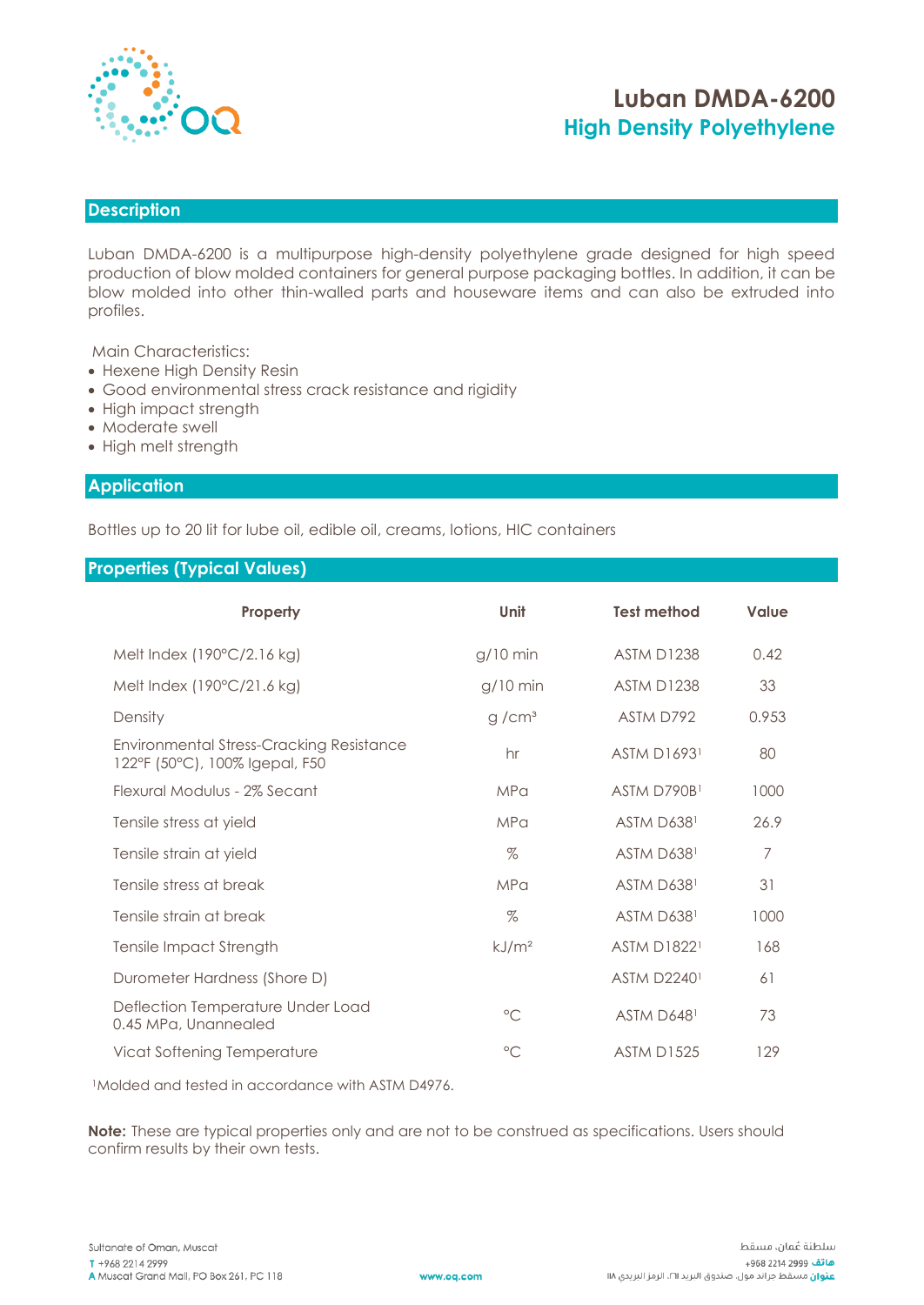

# **Luban DMDA-6200 High Density Polyethylene**

# **Description**

Luban DMDA-6200 is a multipurpose high-density polyethylene grade designed for high speed production of blow molded containers for general purpose packaging bottles. In addition, it can be blow molded into other thin-walled parts and houseware items and can also be extruded into profiles.

Main Characteristics:

- Hexene High Density Resin
- Good environmental stress crack resistance and rigidity
- High impact strength
- Moderate swell
- High melt strength

### **Application**

Bottles up to 20 lit for lube oil, edible oil, creams, lotions, HIC containers

### **Properties (Typical Values)**

| Property                                                                          | Unit              | <b>Test method</b> | Value |
|-----------------------------------------------------------------------------------|-------------------|--------------------|-------|
| Melt Index (190°C/2.16 kg)                                                        | $q/10$ min        | <b>ASTM D1238</b>  | 0.42  |
| Melt Index (190°C/21.6 kg)                                                        | $g/10$ min        | <b>ASTM D1238</b>  | 33    |
| Density                                                                           | g/cm <sup>3</sup> | ASTM D792          | 0.953 |
| <b>Environmental Stress-Cracking Resistance</b><br>122°F (50°C), 100% Igepal, F50 | hr                | <b>ASTM D16931</b> | 80    |
| Flexural Modulus - 2% Secant                                                      | <b>MPa</b>        | ASTM D790B1        | 1000  |
| Tensile stress at yield                                                           | <b>MPa</b>        | ASTM D6381         | 26.9  |
| Tensile strain at yield                                                           | $\%$              | ASTM D6381         | 7     |
| Tensile stress at break                                                           | <b>MPa</b>        | ASTM D6381         | 31    |
| Tensile strain at break                                                           | $\%$              | ASTM D6381         | 1000  |
| <b>Tensile Impact Strength</b>                                                    | kJ/m <sup>2</sup> | <b>ASTM D18221</b> | 168   |
| Durometer Hardness (Shore D)                                                      |                   | <b>ASTM D22401</b> | 61    |
| Deflection Temperature Under Load<br>0.45 MPa, Unannealed                         | $\circ$ C         | ASTM D6481         | 73    |
| Vicat Softening Temperature                                                       | $\circ$           | <b>ASTM D1525</b>  | 129   |

<sup>1</sup>Molded and tested in accordance with ASTM D4976.

**Note:** These are typical properties only and are not to be construed as specifications. Users should confirm results by their own tests.